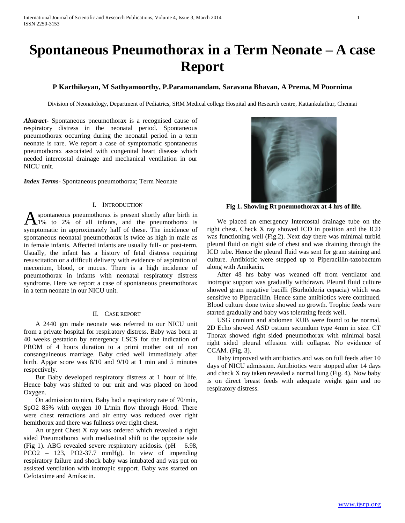# **Spontaneous Pneumothorax in a Term Neonate – A case Report**

## **P Karthikeyan, M Sathyamoorthy, P.Paramanandam, Saravana Bhavan, A Prema, M Poornima**

Division of Neonatology, Department of Pediatrics, SRM Medical college Hospital and Research centre, Kattankulathur, Chennai

*Abstract***-** Spontaneous pneumothorax is a recognised cause of respiratory distress in the neonatal period. Spontaneous pneumothorax occurring during the neonatal period in a term neonate is rare. We report a case of symptomatic spontaneous pneumothorax associated with congenital heart disease which needed intercostal drainage and mechanical ventilation in our NICU unit.

*Index Terms*- Spontaneous pneumothorax; Term Neonate

#### I. INTRODUCTION

spontaneous pneumothorax is present shortly after birth in 1% to 2% of all infants, and the pneumothorax is **A** spontaneous pneumothorax is present shortly after birth in 1% to 2% of all infants, and the pneumothorax is symptomatic in approximately half of these. The incidence of spontaneous neonatal pneumothorax is twice as high in male as in female infants. Affected infants are usually full- or post-term. Usually, the infant has a history of fetal distress requiring resuscitation or a difficult delivery with evidence of aspiration of meconium, blood, or mucus. There is a high incidence of pneumothorax in infants with neonatal respiratory distress syndrome. Here we report a case of spontaneous pneumothorax in a term neonate in our NICU unit.

#### II. CASE REPORT

 A 2440 gm male neonate was referred to our NICU unit from a private hospital for respiratory distress. Baby was born at 40 weeks gestation by emergency LSCS for the indication of PROM of 4 hours duration to a primi mother out of non consanguineous marriage. Baby cried well immediately after birth. Apgar score was 8/10 and 9/10 at 1 min and 5 minutes respectively.

 But Baby developed respiratory distress at 1 hour of life. Hence baby was shifted to our unit and was placed on hood Oxygen.

 On admission to nicu, Baby had a respiratory rate of 70/min, SpO2 85% with oxygen 10 L/min flow through Hood. There were chest retractions and air entry was reduced over right hemithorax and there was fullness over right chest.

 An urgent Chest X ray was ordered which revealed a right sided Pneumothorax with mediastinal shift to the opposite side (Fig 1). ABG revealed severe respiratory acidosis.  $(pH - 6.98,$ PCO2 – 123, PO2-37.7 mmHg). In view of impending respiratory failure and shock baby was intubated and was put on assisted ventilation with inotropic support. Baby was started on Cefotaxime and Amikacin.



**Fig 1. Showing Rt pneumothorax at 4 hrs of life.**

 We placed an emergency Intercostal drainage tube on the right chest. Check X ray showed ICD in position and the ICD was functioning well (Fig.2). Next day there was minimal turbid pleural fluid on right side of chest and was draining through the ICD tube. Hence the pleural fluid was sent for gram staining and culture. Antibiotic were stepped up to Piperacillin-tazobactum along with Amikacin.

 After 48 hrs baby was weaned off from ventilator and inotropic support was gradually withdrawn. Pleural fluid culture showed gram negative bacilli (Burholderia cepacia) which was sensitive to Piperacillin. Hence same antibiotics were continued. Blood culture done twice showed no growth. Trophic feeds were started gradually and baby was tolerating feeds well.

 USG cranium and abdomen KUB were found to be normal. 2D Echo showed ASD ostium secundum type 4mm in size. CT Thorax showed right sided pneumothorax with minimal basal right sided pleural effusion with collapse. No evidence of CCAM. (Fig. 3).

 Baby improved with antibiotics and was on full feeds after 10 days of NICU admission. Antibiotics were stopped after 14 days and check X ray taken revealed a normal lung (Fig. 4). Now baby is on direct breast feeds with adequate weight gain and no respiratory distress.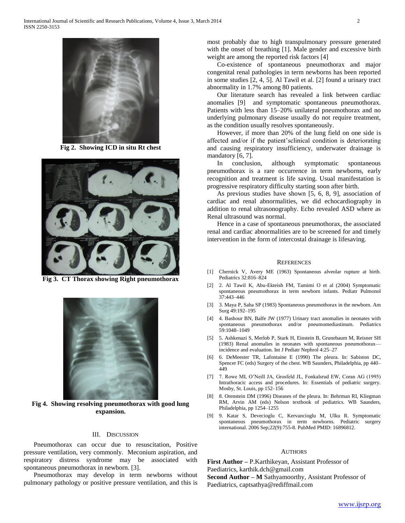

**Fig 2. Showing ICD in situ Rt chest**



**Fig 3. CT Thorax showing Right pneumothorax**



**Fig 4. Showing resolving pneumothorax with good lung expansion.**

### III. DISCUSSION

 Pneumothorax can occur due to resuscitation, Positive pressure ventilation, very commonly. Meconium aspiration, and respiratory distress syndrome may be associated with spontaneous pneumothorax in newborn. [3].

 Pneumothorax may develop in term newborns without pulmonary pathology or positive pressure ventilation, and this is

most probably due to high transpulmonary pressure generated with the onset of breathing [1]. Male gender and excessive birth weight are among the reported risk factors [4]

 Co-existence of spontaneous pneumothorax and major congenital renal pathologies in term newborns has been reported in some studies [2, 4, 5]. Al Tawil et al. [2] found a urinary tract abnormality in 1.7% among 80 patients.

 Our literature search has revealed a link between cardiac anomalies [9] and symptomatic spontaneous pneumothorax. Patients with less than 15–20% unilateral pneumothorax and no underlying pulmonary disease usually do not require treatment, as the condition usually resolves spontaneously.

 However, if more than 20% of the lung field on one side is affected and/or if the patient'sclinical condition is deteriorating and causing respiratory insufficiency, underwater drainage is mandatory [6, 7].

 In conclusion, although symptomatic spontaneous pneumothorax is a rare occurrence in term newborns, early recognition and treatment is life saving. Usual manifestation is progressive respiratory difficulty starting soon after birth.

 As previous studies have shown [5, 6, 8, 9], association of cardiac and renal abnormalities, we did echocardiography in addition to renal ultrasonography. Echo revealed ASD where as Renal ultrasound was normal.

 Hence in a case of spontaneous pneumothorax, the associated renal and cardiac abnormalities are to be screened for and timely intervention in the form of intercostal drainage is lifesaving.

#### **REFERENCES**

- [1] Chernick V, Avery ME (1963) Spontaneous alveolar rupture at birth. Pediatrics 32:816–824
- [2] 2. Al Tawil K, Abu-Ekteish FM, Tamimi O et al (2004) Symptomatic spontaneous pneumothorax in term newborn infants. Pediatr Pulmonol 37:443–446
- [3] 3. Maya P, Saha SP (1983) Spontaneous pneumothorax in the newborn. Am Surg 49:192–195
- [4] 4. Bashour BN, Balfe JW (1977) Urinary tract anomalies in neonates with spontaneous pneumothorax and/or pneumomediastinum. Pediatrics 59:1048–1049
- [5] 5. Ashkenazi S, Merlob P, Stark H, Einstein B, Grunebaum M, Reisner SH (1983) Renal anomalies in neonates with spontaneous pneumothorax incidence and evaluation. Int J Pediatr Nephrol 4:25–27
- [6] 6. DeMeester TR, Lafontaine E (1990) The pleura. In: Sabiston DC, Spencer FC (eds) Surgery of the chest. WB Saunders, Philadelphia, pp 440– 449
- [7] 7. Rowe MI, O'Neill JA, Grosfeld JL, Fonkalsrud EW, Coran AG (1995) Intrathoracic access and procedures. In: Essentials of pediatric surgery. Mosby, St. Louis, pp 152–156
- [8] 8. Orenstein DM (1996) Diseases of the pleura. In: Behrman RI, Kliegman RM, Arvin AM (eds) Nelson textbook of pediatrics. WB Saunders, Philadelphia, pp 1254–1255
- [9] 9. Katar S, Devecioglu C, Kervancioglu M, Ulku R. Symptomatic spontaneous pneumothorax in term newborns. Pediatric surgery international. 2006 Sep;22(9):755-8. PubMed PMID: 16896812.

#### **AUTHORS**

**First Author –** P.Karthikeyan, Assistant Professor of Paediatrics, karthik.dch@gmail.com **Second Author – M** Sathyamoorthy, Assistant Professor of

Paediatrics, captsathya@rediffmail.com